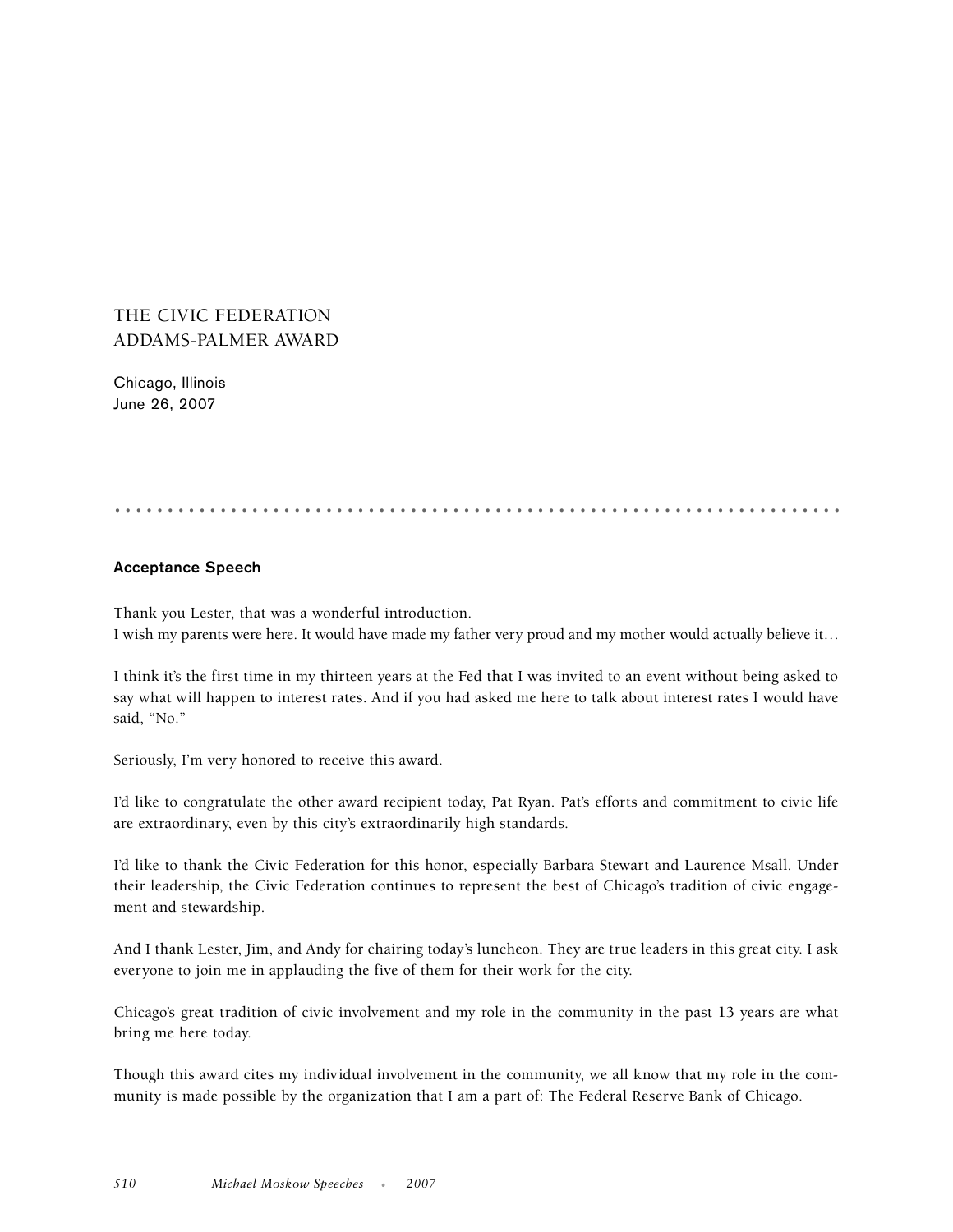## THE CIVIC FEDERATION ADDAMS-PALMER AWARD

Chicago, Illinois June 26, 2007

.....................................................................

## **Acceptance Speech**

Thank you Lester, that was a wonderful introduction. I wish my parents were here. It would have made my father very proud and my mother would actually believe it…

I think it's the first time in my thirteen years at the Fed that I was invited to an event without being asked to say what will happen to interest rates. And if you had asked me here to talk about interest rates I would have said, "No."

Seriously, I'm very honored to receive this award.

I'd like to congratulate the other award recipient today, Pat Ryan. Pat's efforts and commitment to civic life are extraordinary, even by this city's extraordinarily high standards.

I'd like to thank the Civic Federation for this honor, especially Barbara Stewart and Laurence Msall. Under their leadership, the Civic Federation continues to represent the best of Chicago's tradition of civic engagement and stewardship.

And I thank Lester, Jim, and Andy for chairing today's luncheon. They are true leaders in this great city. I ask everyone to join me in applauding the five of them for their work for the city.

Chicago's great tradition of civic involvement and my role in the community in the past 13 years are what bring me here today.

Though this award cites my individual involvement in the community, we all know that my role in the community is made possible by the organization that I am a part of: The Federal Reserve Bank of Chicago.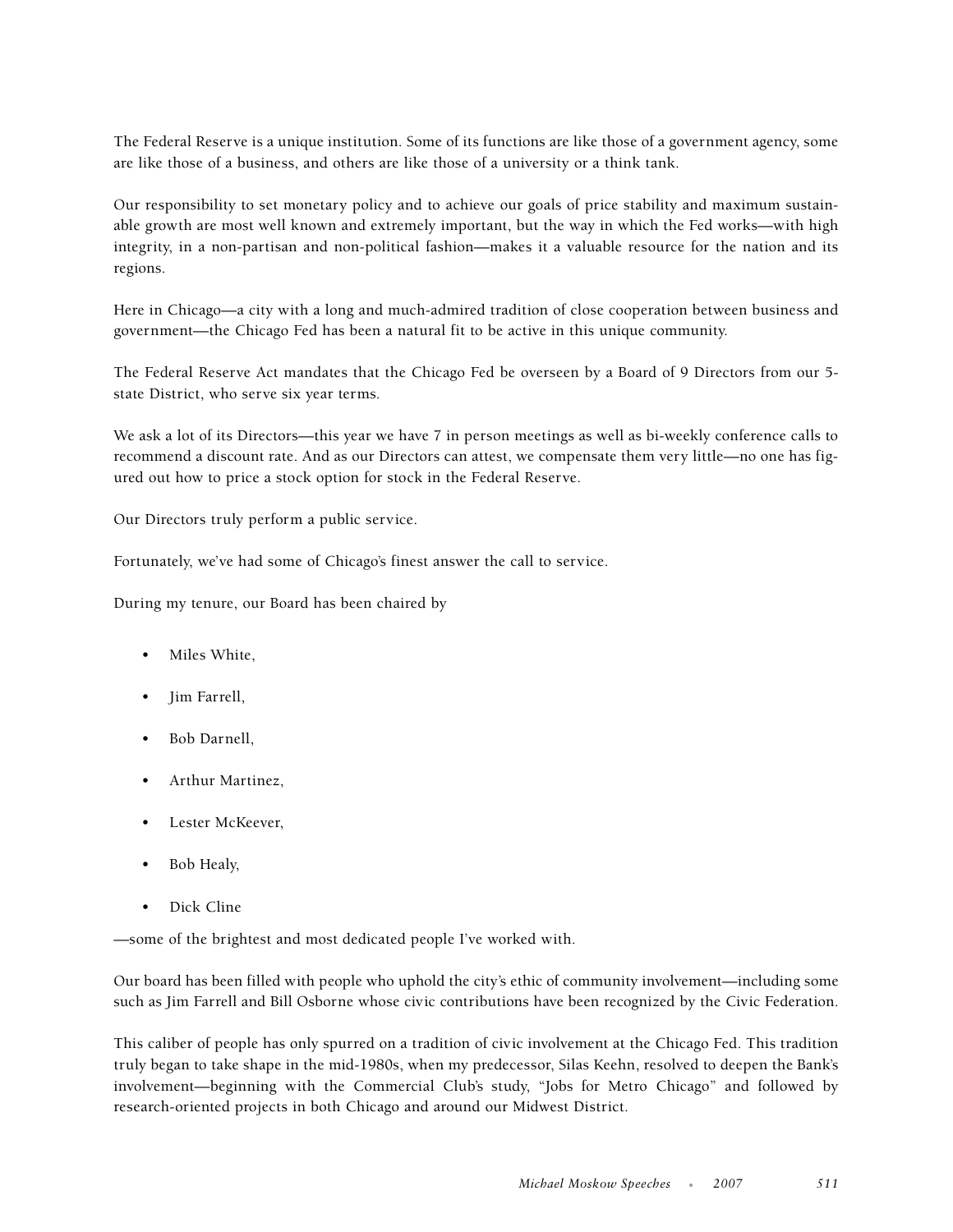The Federal Reserve is a unique institution. Some of its functions are like those of a government agency, some are like those of a business, and others are like those of a university or a think tank.

Our responsibility to set monetary policy and to achieve our goals of price stability and maximum sustainable growth are most well known and extremely important, but the way in which the Fed works—with high integrity, in a non-partisan and non-political fashion—makes it a valuable resource for the nation and its regions.

Here in Chicago—a city with a long and much-admired tradition of close cooperation between business and government—the Chicago Fed has been a natural fit to be active in this unique community.

The Federal Reserve Act mandates that the Chicago Fed be overseen by a Board of 9 Directors from our 5 state District, who serve six year terms.

We ask a lot of its Directors—this year we have 7 in person meetings as well as bi-weekly conference calls to recommend a discount rate. And as our Directors can attest, we compensate them very little—no one has figured out how to price a stock option for stock in the Federal Reserve.

Our Directors truly perform a public service.

Fortunately, we've had some of Chicago's finest answer the call to service.

During my tenure, our Board has been chaired by

- Miles White,
- Jim Farrell,
- Bob Darnell,
- Arthur Martinez,
- Lester McKeever,
- Bob Healy,
- Dick Cline

—some of the brightest and most dedicated people I've worked with.

Our board has been filled with people who uphold the city's ethic of community involvement—including some such as Jim Farrell and Bill Osborne whose civic contributions have been recognized by the Civic Federation.

This caliber of people has only spurred on a tradition of civic involvement at the Chicago Fed. This tradition truly began to take shape in the mid-1980s, when my predecessor, Silas Keehn, resolved to deepen the Bank's involvement—beginning with the Commercial Club's study, "Jobs for Metro Chicago" and followed by research-oriented projects in both Chicago and around our Midwest District.